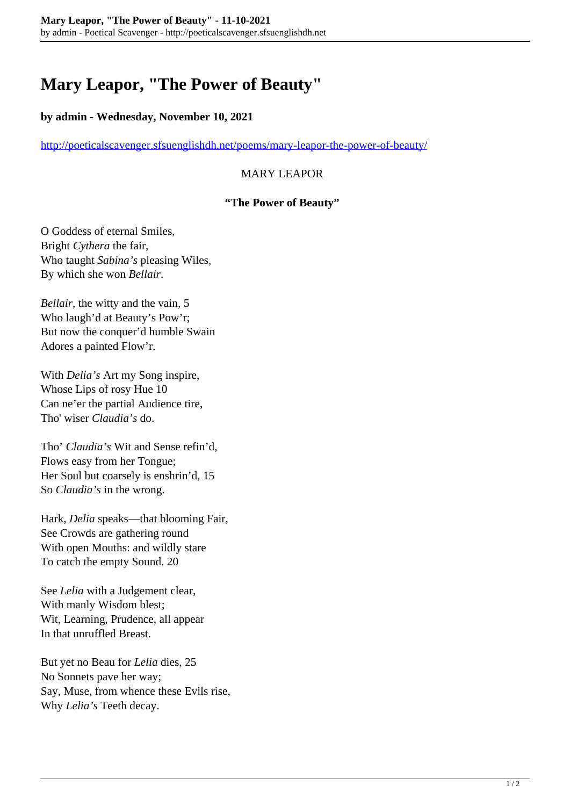# **Mary Leapor, "The Power of Beauty"**

#### **by admin - Wednesday, November 10, 2021**

<http://poeticalscavenger.sfsuenglishdh.net/poems/mary-leapor-the-power-of-beauty/>

## MARY LEAPOR

#### **"The Power of Beauty"**

O Goddess of eternal Smiles, Bright *Cythera* the fair, Who taught *Sabina's* pleasing Wiles, By which she won *Bellair*.

*Bellair*, the witty and the vain, 5 Who laugh'd at Beauty's Pow'r; But now the conquer'd humble Swain Adores a painted Flow'r.

With *Delia's* Art my Song inspire, Whose Lips of rosy Hue 10 Can ne'er the partial Audience tire, Tho' wiser *Claudia's* do.

Tho' *Claudia's* Wit and Sense refin'd, Flows easy from her Tongue; Her Soul but coarsely is enshrin'd, 15 So *Claudia's* in the wrong.

Hark, *Delia* speaks—that blooming Fair, See Crowds are gathering round With open Mouths: and wildly stare To catch the empty Sound. 20

See *Lelia* with a Judgement clear, With manly Wisdom blest; Wit, Learning, Prudence, all appear In that unruffled Breast.

But yet no Beau for *Lelia* dies, 25 No Sonnets pave her way; Say, Muse, from whence these Evils rise, Why *Lelia's* Teeth decay.